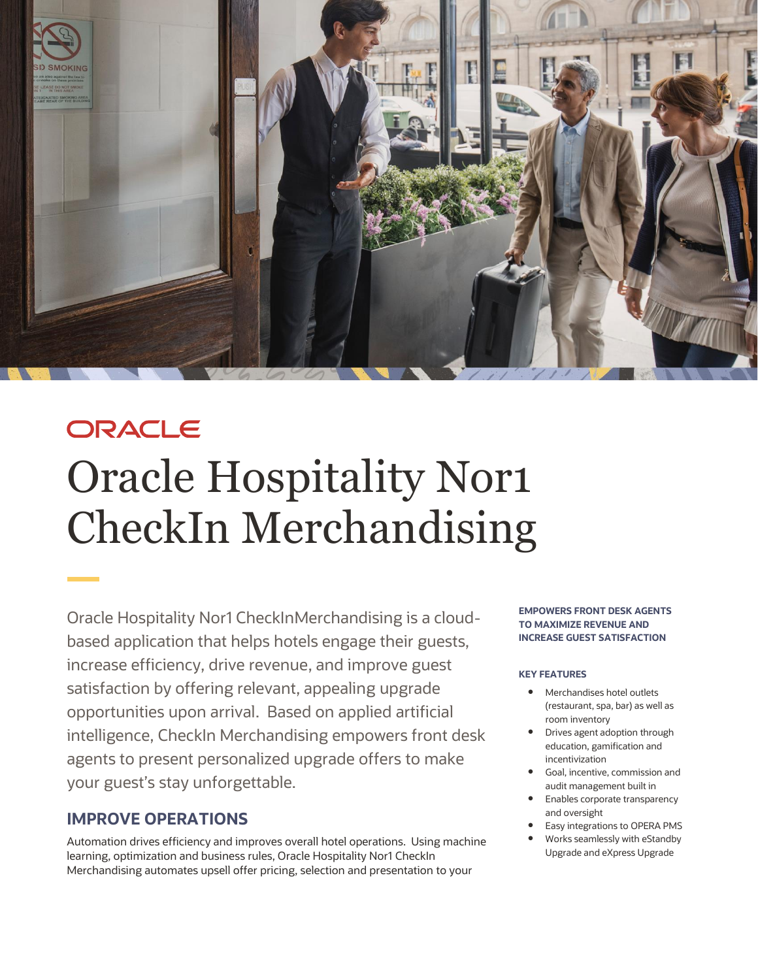

# ORACLE Oracle Hospitality Nor1 CheckIn Merchandising

Oracle Hospitality Nor1 CheckInMerchandising is a cloudbased application that helps hotels engage their guests, increase efficiency, drive revenue, and improve guest satisfaction by offering relevant, appealing upgrade opportunities upon arrival. Based on applied artificial intelligence, CheckIn Merchandising empowers front desk agents to present personalized upgrade offers to make your guest's stay unforgettable.

# **IMPROVE OPERATIONS**

Automation drives efficiency and improves overall hotel operations. Using machine learning, optimization and business rules, Oracle Hospitality Nor1 CheckIn Merchandising automates upsell offer pricing, selection and presentation to your

**EMPOWERS FRONT DESK AGENTS TO MAXIMIZE REVENUE AND INCREASE GUEST SATISFACTION** 

#### **KEY FEATURES**

- Merchandises hotel outlets (restaurant, spa, bar) as well as room inventory
- Drives agent adoption through education, gamification and incentivization
- Goal, incentive, commission and audit management built in
- Enables corporate transparency and oversight
- Easy integrations to OPERA PMS
- Works seamlessly with eStandby Upgrade and eXpress Upgrade